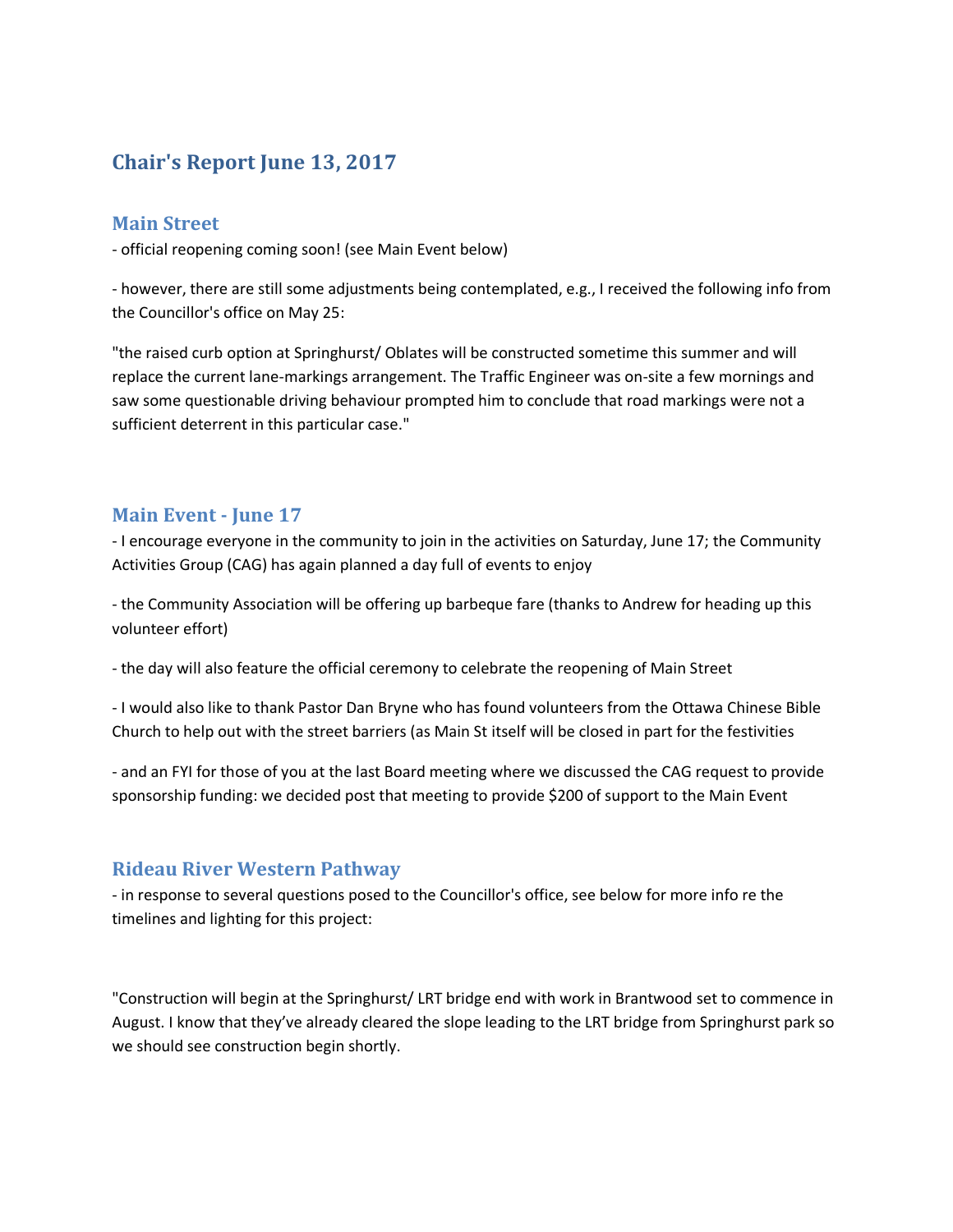# **Chair's Report June 13, 2017**

### **Main Street**

- official reopening coming soon! (see Main Event below)

- however, there are still some adjustments being contemplated, e.g., I received the following info from the Councillor's office on May 25:

"the raised curb option at Springhurst/ Oblates will be constructed sometime this summer and will replace the current lane-markings arrangement. The Traffic Engineer was on-site a few mornings and saw some questionable driving behaviour prompted him to conclude that road markings were not a sufficient deterrent in this particular case."

#### **Main Event - June 17**

- I encourage everyone in the community to join in the activities on Saturday, June 17; the Community Activities Group (CAG) has again planned a day full of events to enjoy

- the Community Association will be offering up barbeque fare (thanks to Andrew for heading up this volunteer effort)

- the day will also feature the official ceremony to celebrate the reopening of Main Street

- I would also like to thank Pastor Dan Bryne who has found volunteers from the Ottawa Chinese Bible Church to help out with the street barriers (as Main St itself will be closed in part for the festivities

- and an FYI for those of you at the last Board meeting where we discussed the CAG request to provide sponsorship funding: we decided post that meeting to provide \$200 of support to the Main Event

#### **Rideau River Western Pathway**

- in response to several questions posed to the Councillor's office, see below for more info re the timelines and lighting for this project:

"Construction will begin at the Springhurst/ LRT bridge end with work in Brantwood set to commence in August. I know that they've already cleared the slope leading to the LRT bridge from Springhurst park so we should see construction begin shortly.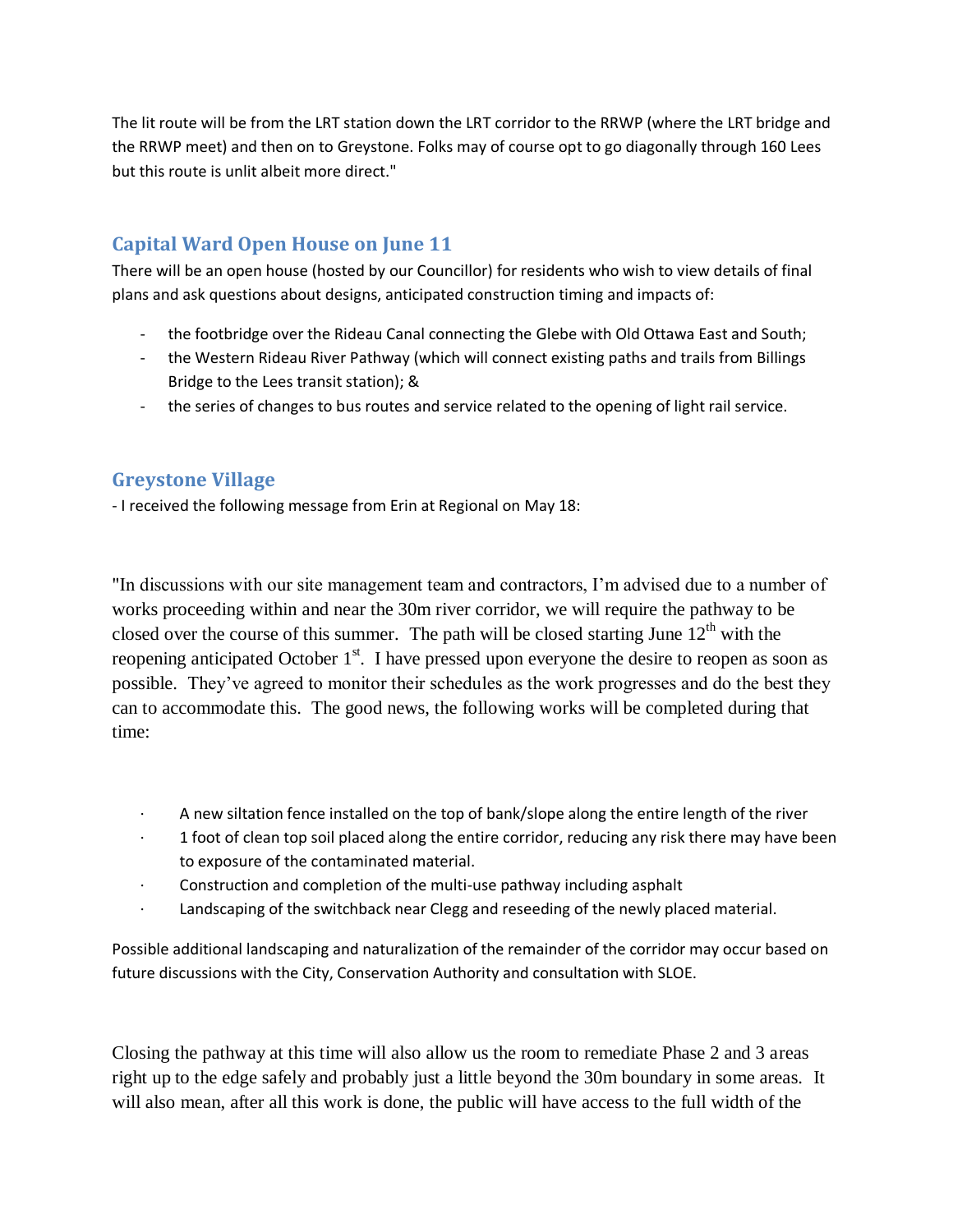The lit route will be from the LRT station down the LRT corridor to the RRWP (where the LRT bridge and the RRWP meet) and then on to Greystone. Folks may of course opt to go diagonally through 160 Lees but this route is unlit albeit more direct."

# **Capital Ward Open House on June 11**

There will be an open house (hosted by our Councillor) for residents who wish to view details of final plans and ask questions about designs, anticipated construction timing and impacts of:

- the footbridge over the Rideau Canal connecting the Glebe with Old Ottawa East and South;
- the Western Rideau River Pathway (which will connect existing paths and trails from Billings Bridge to the Lees transit station); &
- the series of changes to bus routes and service related to the opening of light rail service.

# **Greystone Village**

- I received the following message from Erin at Regional on May 18:

"In discussions with our site management team and contractors, I'm advised due to a number of works proceeding within and near the 30m river corridor, we will require the pathway to be closed over the course of this summer. The path will be closed starting June 12<sup>th</sup> with the reopening anticipated October  $1<sup>st</sup>$ . I have pressed upon everyone the desire to reopen as soon as possible. They've agreed to monitor their schedules as the work progresses and do the best they can to accommodate this. The good news, the following works will be completed during that time:

- · A new siltation fence installed on the top of bank/slope along the entire length of the river
- 1 foot of clean top soil placed along the entire corridor, reducing any risk there may have been to exposure of the contaminated material.
- · Construction and completion of the multi-use pathway including asphalt
- Landscaping of the switchback near Clegg and reseeding of the newly placed material.

Possible additional landscaping and naturalization of the remainder of the corridor may occur based on future discussions with the City, Conservation Authority and consultation with SLOE.

Closing the pathway at this time will also allow us the room to remediate Phase 2 and 3 areas right up to the edge safely and probably just a little beyond the 30m boundary in some areas. It will also mean, after all this work is done, the public will have access to the full width of the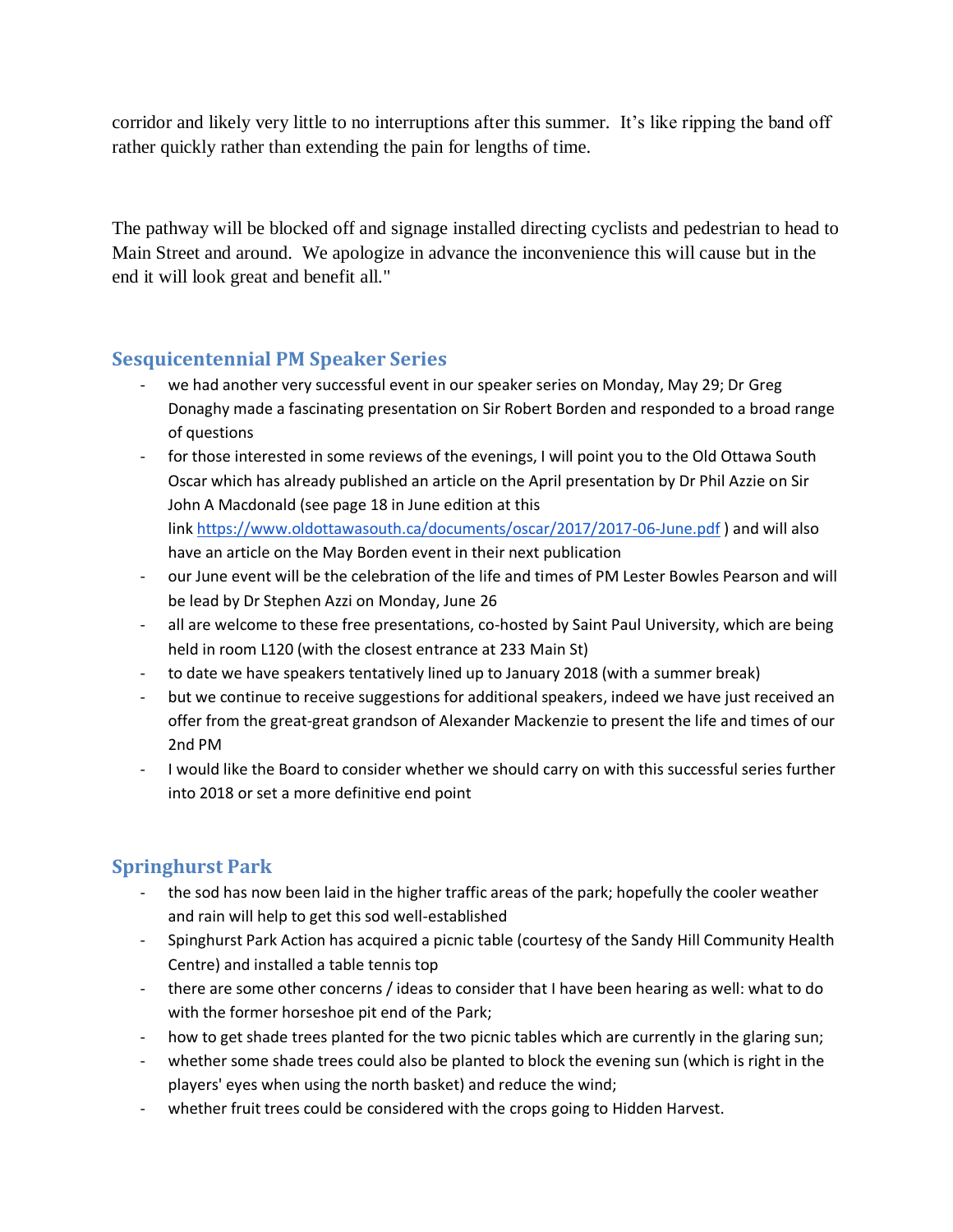corridor and likely very little to no interruptions after this summer. It's like ripping the band off rather quickly rather than extending the pain for lengths of time.

The pathway will be blocked off and signage installed directing cyclists and pedestrian to head to Main Street and around. We apologize in advance the inconvenience this will cause but in the end it will look great and benefit all."

## **Sesquicentennial PM Speaker Series**

- we had another very successful event in our speaker series on Monday, May 29; Dr Greg Donaghy made a fascinating presentation on Sir Robert Borden and responded to a broad range of questions
- for those interested in some reviews of the evenings, I will point you to the Old Ottawa South Oscar which has already published an article on the April presentation by Dr Phil Azzie on Sir John A Macdonald (see page 18 in June edition at this link <https://www.oldottawasouth.ca/documents/oscar/2017/2017-06-June.pdf> ) and will also have an article on the May Borden event in their next publication
- our June event will be the celebration of the life and times of PM Lester Bowles Pearson and will be lead by Dr Stephen Azzi on Monday, June 26
- all are welcome to these free presentations, co-hosted by Saint Paul University, which are being held in room L120 (with the closest entrance at 233 Main St)
- to date we have speakers tentatively lined up to January 2018 (with a summer break)
- but we continue to receive suggestions for additional speakers, indeed we have just received an offer from the great-great grandson of Alexander Mackenzie to present the life and times of our 2nd PM
- I would like the Board to consider whether we should carry on with this successful series further into 2018 or set a more definitive end point

# **Springhurst Park**

- the sod has now been laid in the higher traffic areas of the park; hopefully the cooler weather and rain will help to get this sod well-established
- Spinghurst Park Action has acquired a picnic table (courtesy of the Sandy Hill Community Health Centre) and installed a table tennis top
- there are some other concerns / ideas to consider that I have been hearing as well: what to do with the former horseshoe pit end of the Park;
- how to get shade trees planted for the two picnic tables which are currently in the glaring sun;
- whether some shade trees could also be planted to block the evening sun (which is right in the players' eyes when using the north basket) and reduce the wind;
- whether fruit trees could be considered with the crops going to Hidden Harvest.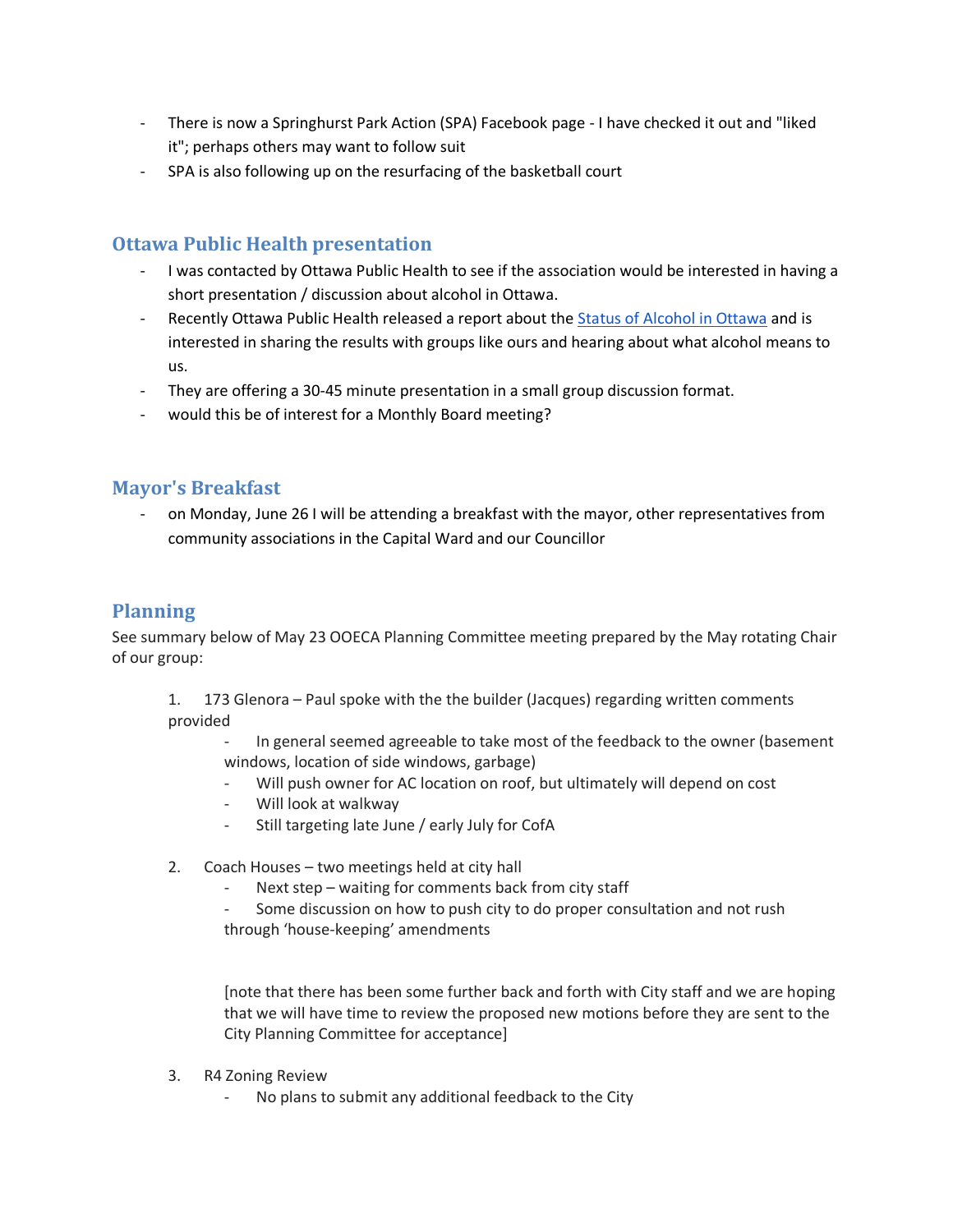- There is now a Springhurst Park Action (SPA) Facebook page I have checked it out and "liked it"; perhaps others may want to follow suit
- SPA is also following up on the resurfacing of the basketball court

### **Ottawa Public Health presentation**

- I was contacted by Ottawa Public Health to see if the association would be interested in having a short presentation / discussion about alcohol in Ottawa.
- Recently Ottawa Public Health released a report about the [Status of Alcohol in Ottawa](https://documents.ottawa.ca/sites/documents.ottawa.ca/files/state_of_alcohol_2016_en.pdf) and is interested in sharing the results with groups like ours and hearing about what alcohol means to us.
- They are offering a 30-45 minute presentation in a small group discussion format.
- would this be of interest for a Monthly Board meeting?

#### **Mayor's Breakfast**

on Monday, June 26 I will be attending a breakfast with the mayor, other representatives from community associations in the Capital Ward and our Councillor

### **Planning**

See summary below of May 23 OOECA Planning Committee meeting prepared by the May rotating Chair of our group:

- 1. 173 Glenora Paul spoke with the the builder (Jacques) regarding written comments provided
	- In general seemed agreeable to take most of the feedback to the owner (basement windows, location of side windows, garbage)
	- Will push owner for AC location on roof, but ultimately will depend on cost
	- Will look at walkway
	- Still targeting late June / early July for CofA
- 2. Coach Houses two meetings held at city hall
	- Next step waiting for comments back from city staff
	- Some discussion on how to push city to do proper consultation and not rush through 'house-keeping' amendments

[note that there has been some further back and forth with City staff and we are hoping that we will have time to review the proposed new motions before they are sent to the City Planning Committee for acceptance]

- 3. R4 Zoning Review
	- No plans to submit any additional feedback to the City